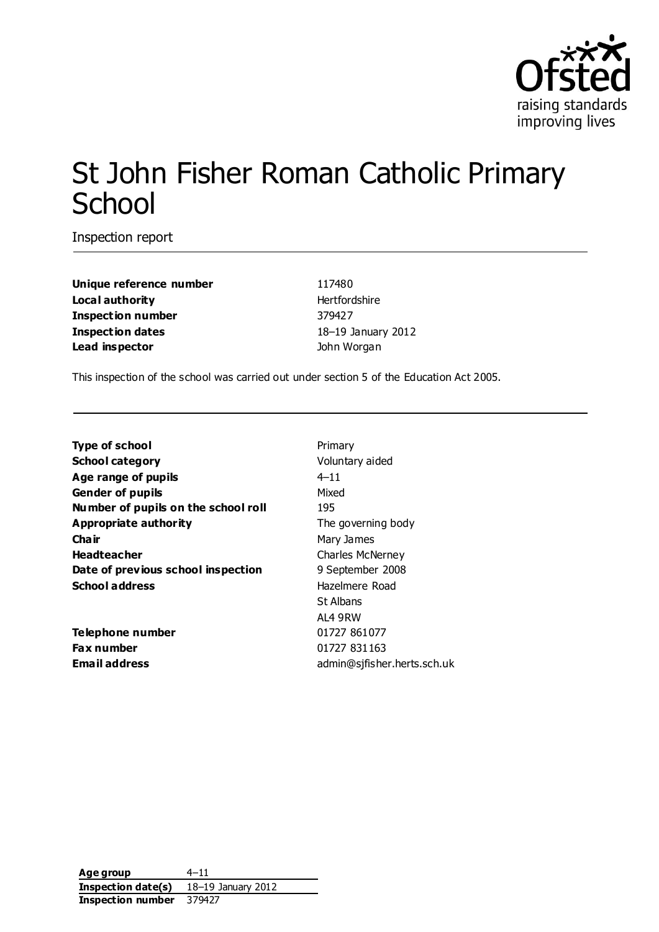

# St John Fisher Roman Catholic Primary **School**

Inspection report

**Unique reference number** 117480 **Local authority Hertfordshire Inspection number** 379427 **Inspection dates** 18–19 January 2012 **Lead inspector** John Worgan

This inspection of the school was carried out under section 5 of the Education Act 2005.

| <b>Type of school</b>               | Primary                     |
|-------------------------------------|-----------------------------|
| <b>School category</b>              | Voluntary aided             |
| Age range of pupils                 | $4 - 11$                    |
| <b>Gender of pupils</b>             | Mixed                       |
| Number of pupils on the school roll | 195                         |
| <b>Appropriate authority</b>        | The governing body          |
| Cha ir                              | Mary James                  |
| <b>Headteacher</b>                  | <b>Charles McNerney</b>     |
| Date of previous school inspection  | 9 September 2008            |
| <b>School address</b>               | Hazelmere Road              |
|                                     | St Albans                   |
|                                     | AL4 9RW                     |
| Telephone number                    | 01727 861077                |
| Fax number                          | 01727 831163                |
| Email address                       | admin@sjfisher.herts.sch.uk |
|                                     |                             |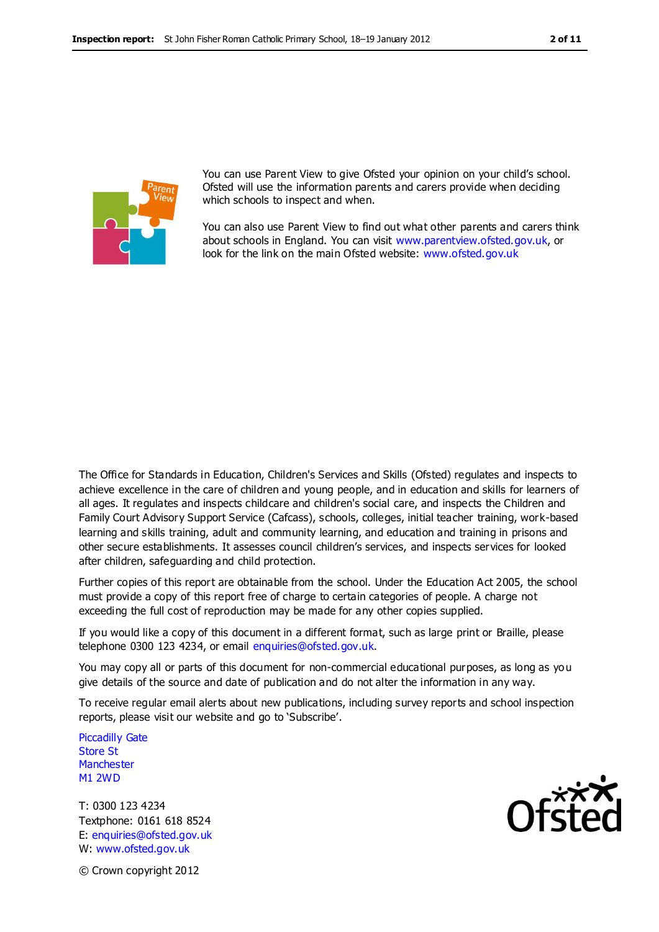

You can use Parent View to give Ofsted your opinion on your child's school. Ofsted will use the information parents and carers provide when deciding which schools to inspect and when.

You can also use Parent View to find out what other parents and carers think about schools in England. You can visit [www.parentview.ofsted.gov.uk,](http://www.parentview.ofsted.gov.uk/) or look for the link on the main Ofsted website: [www.ofsted.gov.uk](http://www.ofsted.gov.uk/)

The Office for Standards in Education, Children's Services and Skills (Ofsted) regulates and inspects to achieve excellence in the care of children and young people, and in education and skills for learners of all ages. It regulates and inspects childcare and children's social care, and inspects the Children and Family Court Advisory Support Service (Cafcass), schools, colleges, initial teacher training, work-based learning and skills training, adult and community learning, and education and training in prisons and other secure establishments. It assesses council children's services, and inspects services for looked after children, safeguarding and child protection.

Further copies of this report are obtainable from the school. Under the Education Act 2005, the school must provide a copy of this report free of charge to certain categories of people. A charge not exceeding the full cost of reproduction may be made for any other copies supplied.

If you would like a copy of this document in a different format, such as large print or Braille, please telephone 0300 123 4234, or email enquiries@ofsted.gov.uk.

You may copy all or parts of this document for non-commercial educational purposes, as long as you give details of the source and date of publication and do not alter the information in any way.

To receive regular email alerts about new publications, including survey reports and school inspection reports, please visit our website and go to 'Subscribe'.

Piccadilly Gate Store St **Manchester** M1 2WD

T: 0300 123 4234 Textphone: 0161 618 8524 E: enquiries@ofsted.gov.uk W: www.ofsted.gov.uk



© Crown copyright 2012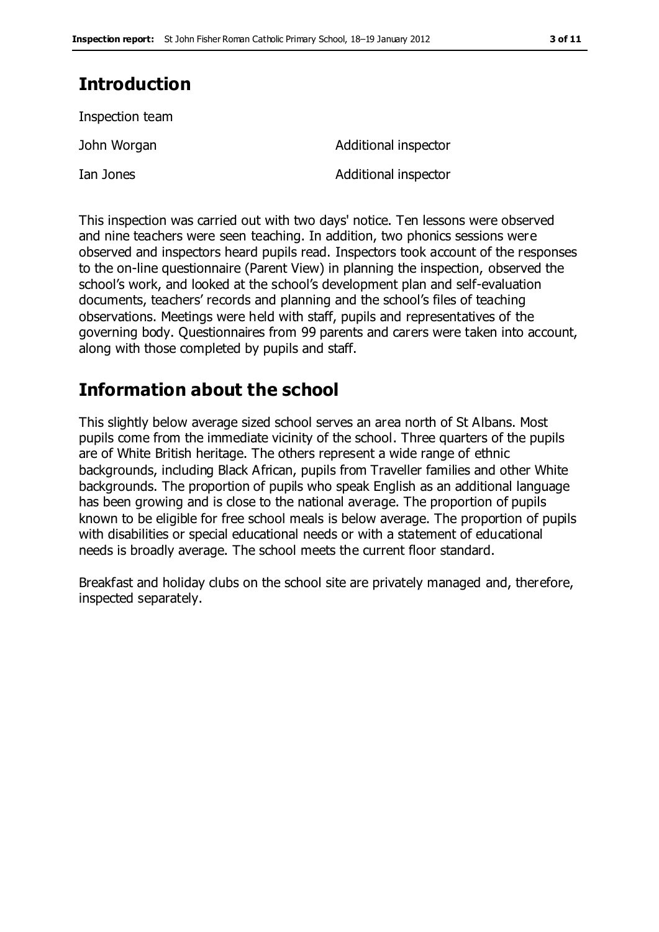# **Introduction**

Inspection team

Ian Jones **Additional inspector** 

John Worgan **Additional inspector** 

This inspection was carried out with two days' notice. Ten lessons were observed and nine teachers were seen teaching. In addition, two phonics sessions were observed and inspectors heard pupils read. Inspectors took account of the responses to the on-line questionnaire (Parent View) in planning the inspection, observed the school's work, and looked at the school's development plan and self-evaluation documents, teachers' records and planning and the school's files of teaching observations. Meetings were held with staff, pupils and representatives of the governing body. Questionnaires from 99 parents and carers were taken into account, along with those completed by pupils and staff.

# **Information about the school**

This slightly below average sized school serves an area north of St Albans. Most pupils come from the immediate vicinity of the school. Three quarters of the pupils are of White British heritage. The others represent a wide range of ethnic backgrounds, including Black African, pupils from Traveller families and other White backgrounds. The proportion of pupils who speak English as an additional language has been growing and is close to the national average. The proportion of pupils known to be eligible for free school meals is below average. The proportion of pupils with disabilities or special educational needs or with a statement of educational needs is broadly average. The school meets the current floor standard.

Breakfast and holiday clubs on the school site are privately managed and, therefore, inspected separately.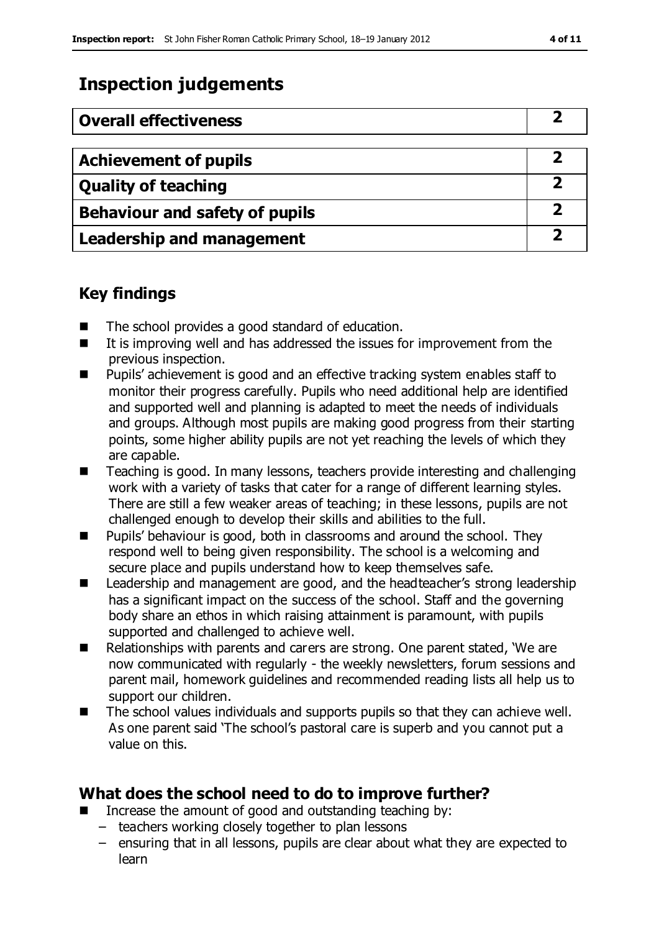# **Inspection judgements**

| <b>Overall effectiveness</b>          |  |
|---------------------------------------|--|
|                                       |  |
| <b>Achievement of pupils</b>          |  |
| <b>Quality of teaching</b>            |  |
| <b>Behaviour and safety of pupils</b> |  |
| <b>Leadership and management</b>      |  |

### **Key findings**

- The school provides a good standard of education.
- $\blacksquare$  It is improving well and has addressed the issues for improvement from the previous inspection.
- Pupils' achievement is good and an effective tracking system enables staff to monitor their progress carefully. Pupils who need additional help are identified and supported well and planning is adapted to meet the needs of individuals and groups. Although most pupils are making good progress from their starting points, some higher ability pupils are not yet reaching the levels of which they are capable.
- Teaching is good. In many lessons, teachers provide interesting and challenging work with a variety of tasks that cater for a range of different learning styles. There are still a few weaker areas of teaching; in these lessons, pupils are not challenged enough to develop their skills and abilities to the full.
- **Pupils' behaviour is good, both in classrooms and around the school. They** respond well to being given responsibility. The school is a welcoming and secure place and pupils understand how to keep themselves safe.
- Leadership and management are good, and the headteacher's strong leadership has a significant impact on the success of the school. Staff and the governing body share an ethos in which raising attainment is paramount, with pupils supported and challenged to achieve well.
- Relationships with parents and carers are strong. One parent stated, 'We are now communicated with regularly - the weekly newsletters, forum sessions and parent mail, homework guidelines and recommended reading lists all help us to support our children.
- The school values individuals and supports pupils so that they can achieve well. As one parent said 'The school's pastoral care is superb and you cannot put a value on this.

### **What does the school need to do to improve further?**

- Increase the amount of good and outstanding teaching by:
	- teachers working closely together to plan lessons
	- ensuring that in all lessons, pupils are clear about what they are expected to learn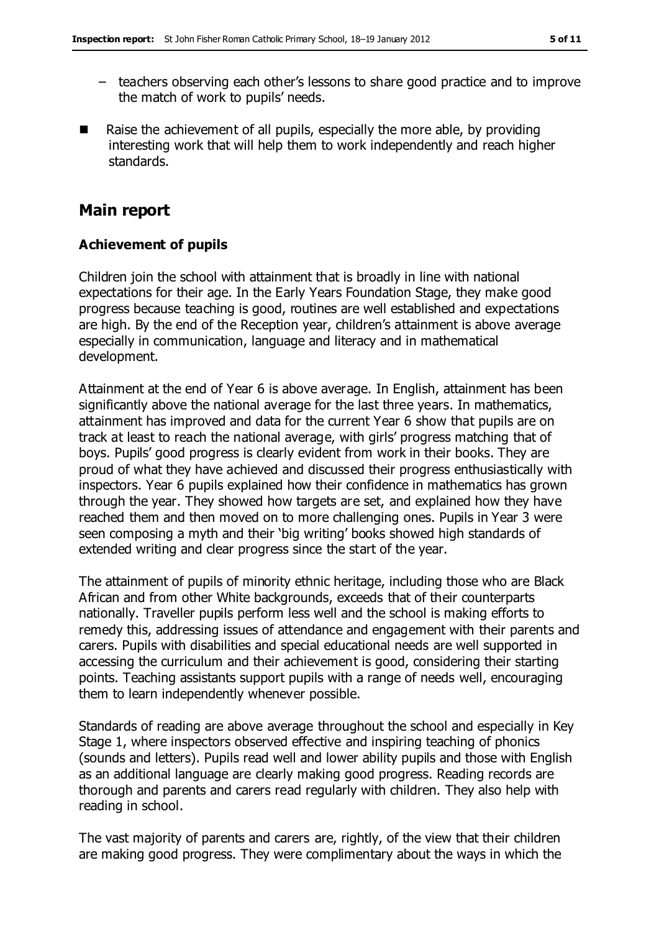- teachers observing each other's lessons to share good practice and to improve the match of work to pupils' needs.
- Raise the achievement of all pupils, especially the more able, by providing interesting work that will help them to work independently and reach higher standards.

### **Main report**

#### **Achievement of pupils**

Children join the school with attainment that is broadly in line with national expectations for their age. In the Early Years Foundation Stage, they make good progress because teaching is good, routines are well established and expectations are high. By the end of the Reception year, children's attainment is above average especially in communication, language and literacy and in mathematical development.

Attainment at the end of Year 6 is above average. In English, attainment has been significantly above the national average for the last three years. In mathematics, attainment has improved and data for the current Year 6 show that pupils are on track at least to reach the national average, with girls' progress matching that of boys. Pupils' good progress is clearly evident from work in their books. They are proud of what they have achieved and discussed their progress enthusiastically with inspectors. Year 6 pupils explained how their confidence in mathematics has grown through the year. They showed how targets are set, and explained how they have reached them and then moved on to more challenging ones. Pupils in Year 3 were seen composing a myth and their 'big writing' books showed high standards of extended writing and clear progress since the start of the year.

The attainment of pupils of minority ethnic heritage, including those who are Black African and from other White backgrounds, exceeds that of their counterparts nationally. Traveller pupils perform less well and the school is making efforts to remedy this, addressing issues of attendance and engagement with their parents and carers. Pupils with disabilities and special educational needs are well supported in accessing the curriculum and their achievement is good, considering their starting points. Teaching assistants support pupils with a range of needs well, encouraging them to learn independently whenever possible.

Standards of reading are above average throughout the school and especially in Key Stage 1, where inspectors observed effective and inspiring teaching of phonics (sounds and letters). Pupils read well and lower ability pupils and those with English as an additional language are clearly making good progress. Reading records are thorough and parents and carers read regularly with children. They also help with reading in school.

The vast majority of parents and carers are, rightly, of the view that their children are making good progress. They were complimentary about the ways in which the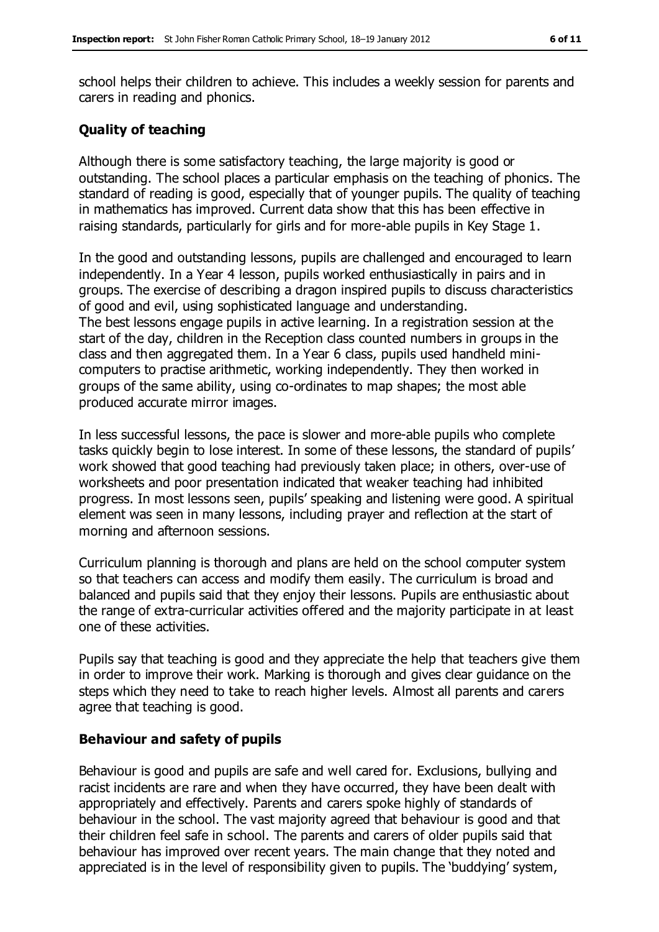school helps their children to achieve. This includes a weekly session for parents and carers in reading and phonics.

#### **Quality of teaching**

Although there is some satisfactory teaching, the large majority is good or outstanding. The school places a particular emphasis on the teaching of phonics. The standard of reading is good, especially that of younger pupils. The quality of teaching in mathematics has improved. Current data show that this has been effective in raising standards, particularly for girls and for more-able pupils in Key Stage 1.

In the good and outstanding lessons, pupils are challenged and encouraged to learn independently. In a Year 4 lesson, pupils worked enthusiastically in pairs and in groups. The exercise of describing a dragon inspired pupils to discuss characteristics of good and evil, using sophisticated language and understanding. The best lessons engage pupils in active learning. In a registration session at the start of the day, children in the Reception class counted numbers in groups in the class and then aggregated them. In a Year 6 class, pupils used handheld minicomputers to practise arithmetic, working independently. They then worked in groups of the same ability, using co-ordinates to map shapes; the most able produced accurate mirror images.

In less successful lessons, the pace is slower and more-able pupils who complete tasks quickly begin to lose interest. In some of these lessons, the standard of pupils' work showed that good teaching had previously taken place; in others, over-use of worksheets and poor presentation indicated that weaker teaching had inhibited progress. In most lessons seen, pupils' speaking and listening were good. A spiritual element was seen in many lessons, including prayer and reflection at the start of morning and afternoon sessions.

Curriculum planning is thorough and plans are held on the school computer system so that teachers can access and modify them easily. The curriculum is broad and balanced and pupils said that they enjoy their lessons. Pupils are enthusiastic about the range of extra-curricular activities offered and the majority participate in at least one of these activities.

Pupils say that teaching is good and they appreciate the help that teachers give them in order to improve their work. Marking is thorough and gives clear guidance on the steps which they need to take to reach higher levels. Almost all parents and carers agree that teaching is good.

#### **Behaviour and safety of pupils**

Behaviour is good and pupils are safe and well cared for. Exclusions, bullying and racist incidents are rare and when they have occurred, they have been dealt with appropriately and effectively. Parents and carers spoke highly of standards of behaviour in the school. The vast majority agreed that behaviour is good and that their children feel safe in school. The parents and carers of older pupils said that behaviour has improved over recent years. The main change that they noted and appreciated is in the level of responsibility given to pupils. The 'buddying' system,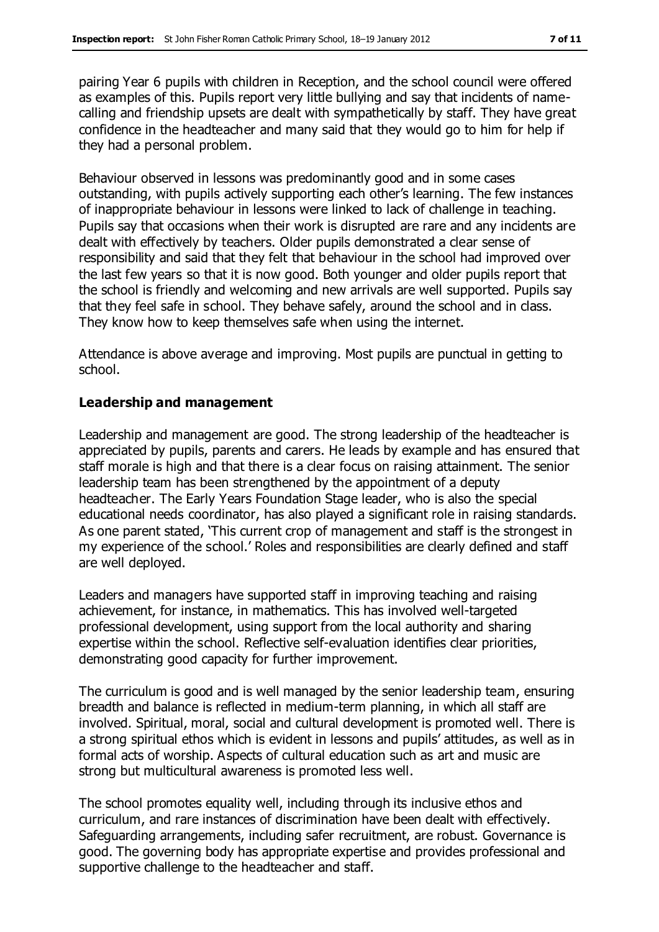pairing Year 6 pupils with children in Reception, and the school council were offered as examples of this. Pupils report very little bullying and say that incidents of namecalling and friendship upsets are dealt with sympathetically by staff. They have great confidence in the headteacher and many said that they would go to him for help if they had a personal problem.

Behaviour observed in lessons was predominantly good and in some cases outstanding, with pupils actively supporting each other's learning. The few instances of inappropriate behaviour in lessons were linked to lack of challenge in teaching. Pupils say that occasions when their work is disrupted are rare and any incidents are dealt with effectively by teachers. Older pupils demonstrated a clear sense of responsibility and said that they felt that behaviour in the school had improved over the last few years so that it is now good. Both younger and older pupils report that the school is friendly and welcoming and new arrivals are well supported. Pupils say that they feel safe in school. They behave safely, around the school and in class. They know how to keep themselves safe when using the internet.

Attendance is above average and improving. Most pupils are punctual in getting to school.

#### **Leadership and management**

Leadership and management are good. The strong leadership of the headteacher is appreciated by pupils, parents and carers. He leads by example and has ensured that staff morale is high and that there is a clear focus on raising attainment. The senior leadership team has been strengthened by the appointment of a deputy headteacher. The Early Years Foundation Stage leader, who is also the special educational needs coordinator, has also played a significant role in raising standards. As one parent stated, 'This current crop of management and staff is the strongest in my experience of the school.' Roles and responsibilities are clearly defined and staff are well deployed.

Leaders and managers have supported staff in improving teaching and raising achievement, for instance, in mathematics. This has involved well-targeted professional development, using support from the local authority and sharing expertise within the school. Reflective self-evaluation identifies clear priorities, demonstrating good capacity for further improvement.

The curriculum is good and is well managed by the senior leadership team, ensuring breadth and balance is reflected in medium-term planning, in which all staff are involved. Spiritual, moral, social and cultural development is promoted well. There is a strong spiritual ethos which is evident in lessons and pupils' attitudes, as well as in formal acts of worship. Aspects of cultural education such as art and music are strong but multicultural awareness is promoted less well.

The school promotes equality well, including through its inclusive ethos and curriculum, and rare instances of discrimination have been dealt with effectively. Safeguarding arrangements, including safer recruitment, are robust. Governance is good. The governing body has appropriate expertise and provides professional and supportive challenge to the headteacher and staff.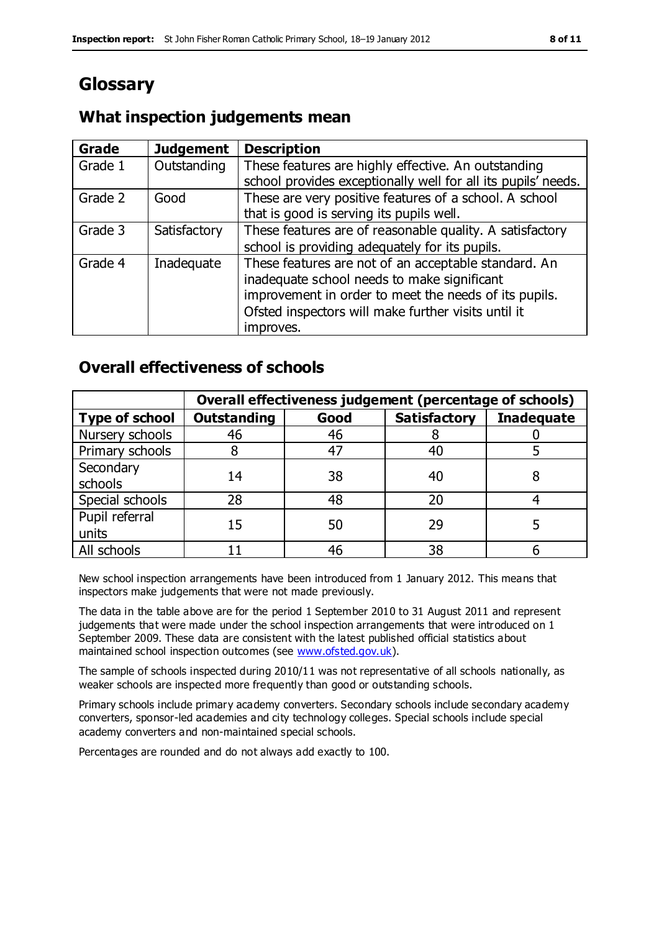# **Glossary**

### **What inspection judgements mean**

| <b>Grade</b> | <b>Judgement</b> | <b>Description</b>                                                                                                                                                                                                               |
|--------------|------------------|----------------------------------------------------------------------------------------------------------------------------------------------------------------------------------------------------------------------------------|
| Grade 1      | Outstanding      | These features are highly effective. An outstanding<br>school provides exceptionally well for all its pupils' needs.                                                                                                             |
| Grade 2      | Good             | These are very positive features of a school. A school<br>that is good is serving its pupils well.                                                                                                                               |
| Grade 3      | Satisfactory     | These features are of reasonable quality. A satisfactory<br>school is providing adequately for its pupils.                                                                                                                       |
| Grade 4      | Inadequate       | These features are not of an acceptable standard. An<br>inadequate school needs to make significant<br>improvement in order to meet the needs of its pupils.<br>Ofsted inspectors will make further visits until it<br>improves. |

### **Overall effectiveness of schools**

|                         | Overall effectiveness judgement (percentage of schools) |      |                     |                   |
|-------------------------|---------------------------------------------------------|------|---------------------|-------------------|
| <b>Type of school</b>   | <b>Outstanding</b>                                      | Good | <b>Satisfactory</b> | <b>Inadequate</b> |
| Nursery schools         | 46                                                      | 46   |                     |                   |
| Primary schools         |                                                         | 47   | 40                  |                   |
| Secondary<br>schools    | 14                                                      | 38   | 40                  |                   |
| Special schools         | 28                                                      | 48   | 20                  |                   |
| Pupil referral<br>units | 15                                                      | 50   | 29                  |                   |
| All schools             |                                                         | 46   | 38                  |                   |

New school inspection arrangements have been introduced from 1 January 2012. This means that inspectors make judgements that were not made previously.

The data in the table above are for the period 1 September 2010 to 31 August 2011 and represent judgements that were made under the school inspection arrangements that were introduced on 1 September 2009. These data are consistent with the latest published official statistics about maintained school inspection outcomes (see [www.ofsted.gov.uk\)](http://www.ofsted.gov.uk/).

The sample of schools inspected during 2010/11 was not representative of all schools nationally, as weaker schools are inspected more frequently than good or outstanding schools.

Primary schools include primary academy converters. Secondary schools include secondary academy converters, sponsor-led academies and city technology colleges. Special schools include special academy converters and non-maintained special schools.

Percentages are rounded and do not always add exactly to 100.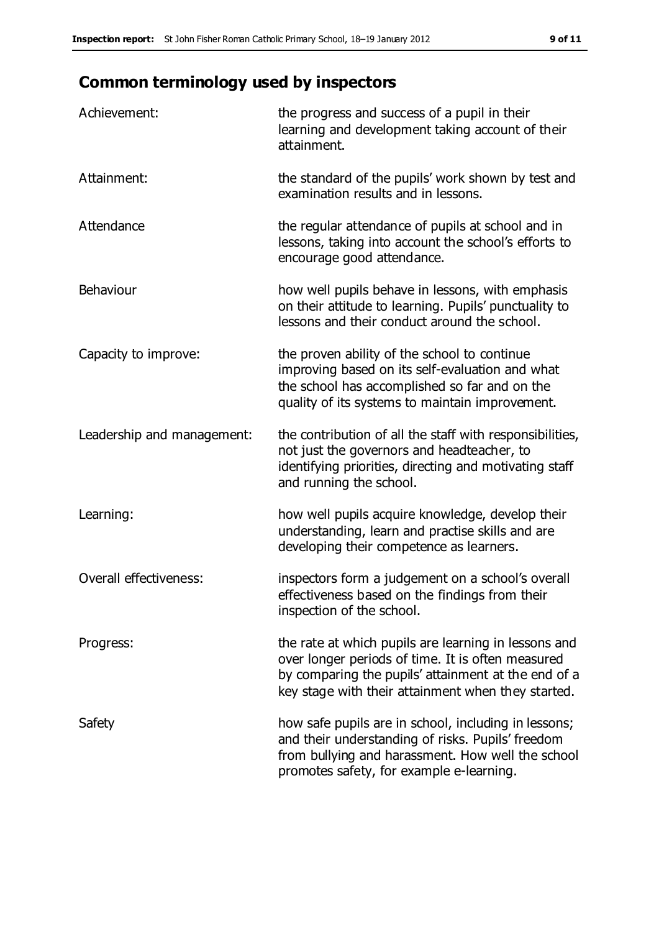# **Common terminology used by inspectors**

| Achievement:                  | the progress and success of a pupil in their<br>learning and development taking account of their<br>attainment.                                                                                                        |
|-------------------------------|------------------------------------------------------------------------------------------------------------------------------------------------------------------------------------------------------------------------|
| Attainment:                   | the standard of the pupils' work shown by test and<br>examination results and in lessons.                                                                                                                              |
| Attendance                    | the regular attendance of pupils at school and in<br>lessons, taking into account the school's efforts to<br>encourage good attendance.                                                                                |
| Behaviour                     | how well pupils behave in lessons, with emphasis<br>on their attitude to learning. Pupils' punctuality to<br>lessons and their conduct around the school.                                                              |
| Capacity to improve:          | the proven ability of the school to continue<br>improving based on its self-evaluation and what<br>the school has accomplished so far and on the<br>quality of its systems to maintain improvement.                    |
| Leadership and management:    | the contribution of all the staff with responsibilities,<br>not just the governors and headteacher, to<br>identifying priorities, directing and motivating staff<br>and running the school.                            |
| Learning:                     | how well pupils acquire knowledge, develop their<br>understanding, learn and practise skills and are<br>developing their competence as learners.                                                                       |
| <b>Overall effectiveness:</b> | inspectors form a judgement on a school's overall<br>effectiveness based on the findings from their<br>inspection of the school.                                                                                       |
| Progress:                     | the rate at which pupils are learning in lessons and<br>over longer periods of time. It is often measured<br>by comparing the pupils' attainment at the end of a<br>key stage with their attainment when they started. |
| Safety                        | how safe pupils are in school, including in lessons;<br>and their understanding of risks. Pupils' freedom<br>from bullying and harassment. How well the school<br>promotes safety, for example e-learning.             |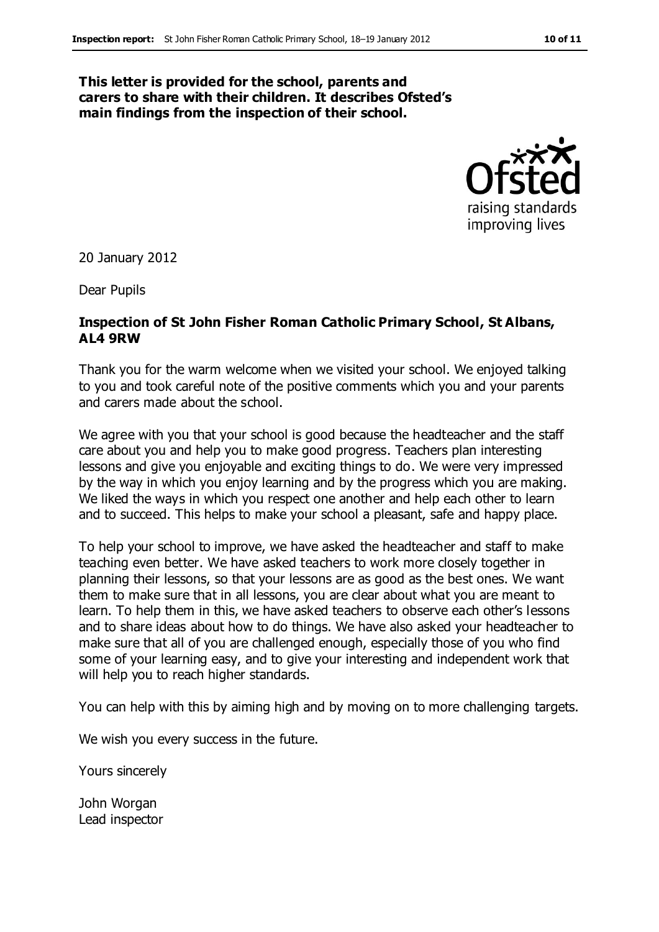#### **This letter is provided for the school, parents and carers to share with their children. It describes Ofsted's main findings from the inspection of their school.**



20 January 2012

Dear Pupils

#### **Inspection of St John Fisher Roman Catholic Primary School, St Albans, AL4 9RW**

Thank you for the warm welcome when we visited your school. We enjoyed talking to you and took careful note of the positive comments which you and your parents and carers made about the school.

We agree with you that your school is good because the headteacher and the staff care about you and help you to make good progress. Teachers plan interesting lessons and give you enjoyable and exciting things to do. We were very impressed by the way in which you enjoy learning and by the progress which you are making. We liked the ways in which you respect one another and help each other to learn and to succeed. This helps to make your school a pleasant, safe and happy place.

To help your school to improve, we have asked the headteacher and staff to make teaching even better. We have asked teachers to work more closely together in planning their lessons, so that your lessons are as good as the best ones. We want them to make sure that in all lessons, you are clear about what you are meant to learn. To help them in this, we have asked teachers to observe each other's lessons and to share ideas about how to do things. We have also asked your headteacher to make sure that all of you are challenged enough, especially those of you who find some of your learning easy, and to give your interesting and independent work that will help you to reach higher standards.

You can help with this by aiming high and by moving on to more challenging targets.

We wish you every success in the future.

Yours sincerely

John Worgan Lead inspector